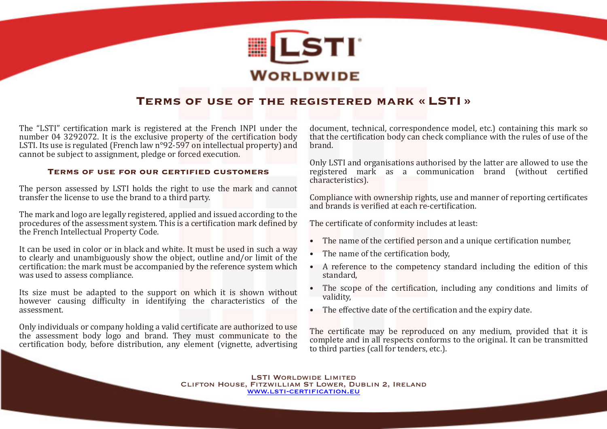

# **Terms of use of the registered mark « LSTI »**

The "LSTI" certification mark is registered at the French INPI under the number 04 3292072. It is the exclusive property of the certification body LSTI. Its use is regulated (French law n°92-597 on intellectual property) and cannot be subject to assignment, pledge or forced execution.

# **Terms of use for our certified customers**

The person assessed by LSTI holds the right to use the mark and cannot transfer the license to use the brand to a third party.

The mark and logo are legally registered, applied and issued according to the procedures of the assessment system. This is a certification mark defined by the French Intellectual Property Code.

It can be used in color or in black and white. It must be used in such a way to clearly and unambiguously show the object, outline and/or limit of the certification: the mark must be accompanied by the reference system which was used to assess compliance.

Its size must be adapted to the support on which it is shown without however causing difficulty in identifying the characteristics of the assessment.

Only individuals or company holding a valid certificate are authorized to use the assessment body logo and brand. They must communicate to the certification body, before distribution, any element (vignette, advertising document, technical, correspondence model, etc.) containing this mark so that the certification body can check compliance with the rules of use of the brand.

Only LSTI and organisations authorised by the latter are allowed to use the registered mark as a communication brand (without certified characteristics).

Compliance with ownership rights, use and manner of reporting certificates and brands is verified at each re-certification.

The certificate of conformity includes at least:

- The name of the certified person and a unique certification number,
- The name of the certification body,
- A reference to the competency standard including the edition of this standard,
- The scope of the certification, including any conditions and limits of validity,
- The effective date of the certification and the expiry date.

The certificate may be reproduced on any medium, provided that it is complete and in all respects conforms to the original. It can be transmitted to third parties (call for tenders, etc.).

LSTI WORLDWIDE LIMITED Clifton House, Fitzwilliam St Lower, Dublin 2, Ireland [www.lsti-certification.eu](https://www.lsti-certification.eu)